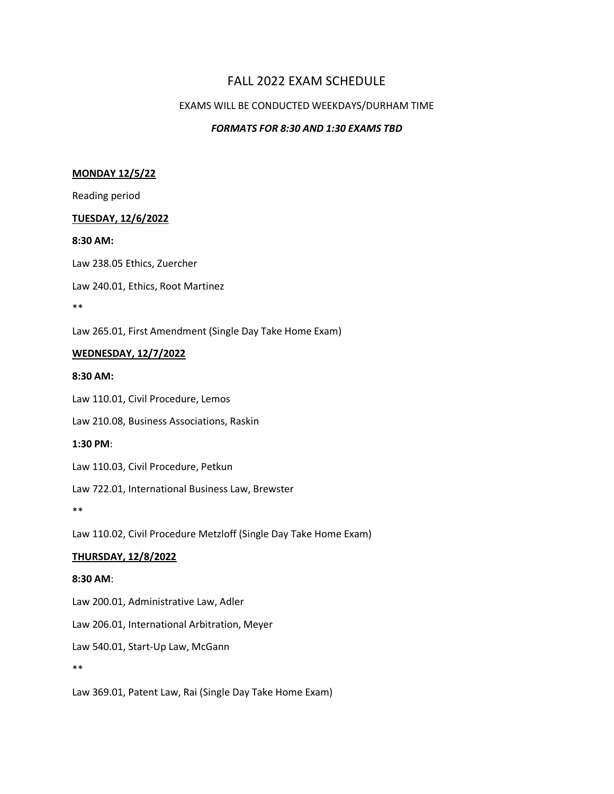# FALL 2022 EXAM SCHEDULE

# EXAMS WILL BE CONDUCTED WEEKDAYS/DURHAM TIME

# *FORMATS FOR 8:30 AND 1:30 EXAMS TBD*

## **MONDAY 12/5/22**

Reading period

## **TUESDAY, 12/6/2022**

#### **8:30 AM:**

Law 238.05 Ethics, Zuercher

Law 240.01, Ethics, Root Martinez

\*\*

Law 265.01, First Amendment (Single Day Take Home Exam)

# **WEDNESDAY, 12/7/2022**

#### **8:30 AM:**

Law 110.01, Civil Procedure, Lemos

Law 210.08, Business Associations, Raskin

## **1:30 PM**:

Law 110.03, Civil Procedure, Petkun

Law 722.01, International Business Law, Brewster

\*\*

Law 110.02, Civil Procedure Metzloff (Single Day Take Home Exam)

# **THURSDAY, 12/8/2022**

## **8:30 AM**:

Law 200.01, Administrative Law, Adler

Law 206.01, International Arbitration, Meyer

Law 540.01, Start-Up Law, McGann

\*\*

Law 369.01, Patent Law, Rai (Single Day Take Home Exam)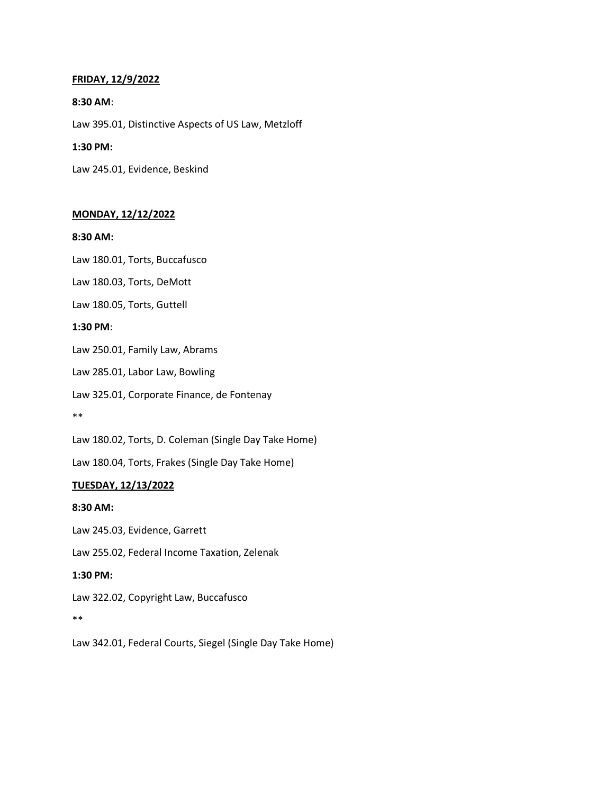## **FRIDAY, 12/9/2022**

## **8:30 AM**:

Law 395.01, Distinctive Aspects of US Law, Metzloff

## **1:30 PM:**

Law 245.01, Evidence, Beskind

## **MONDAY, 12/12/2022**

## **8:30 AM:**

Law 180.01, Torts, Buccafusco

Law 180.03, Torts, DeMott

Law 180.05, Torts, Guttell

## **1:30 PM**:

Law 250.01, Family Law, Abrams

Law 285.01, Labor Law, Bowling

Law 325.01, Corporate Finance, de Fontenay

\*\*

Law 180.02, Torts, D. Coleman (Single Day Take Home)

Law 180.04, Torts, Frakes (Single Day Take Home)

# **TUESDAY, 12/13/2022**

## **8:30 AM:**

Law 245.03, Evidence, Garrett Law 255.02, Federal Income Taxation, Zelenak **1:30 PM:** Law 322.02, Copyright Law, Buccafusco \*\*

Law 342.01, Federal Courts, Siegel (Single Day Take Home)